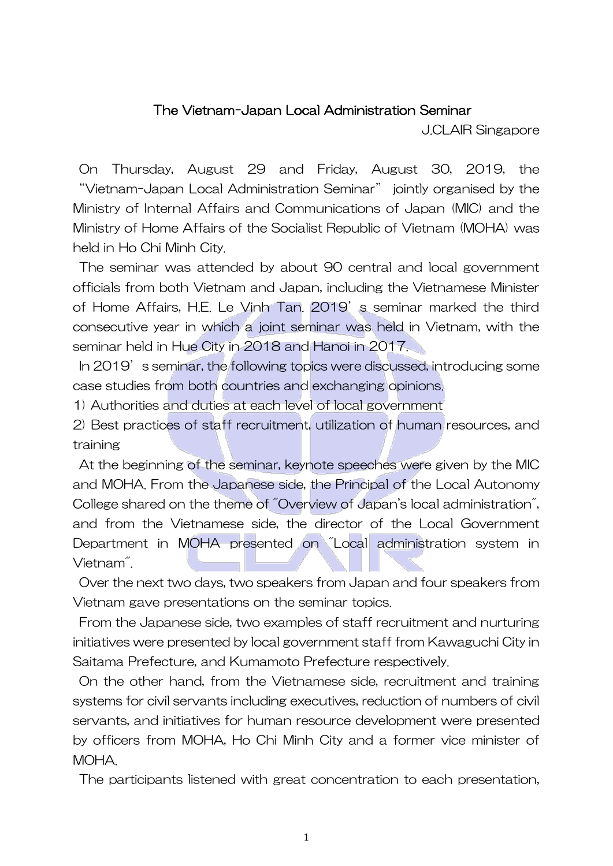## The Vietnam-Japan Local Administration Seminar

J.CLAIR Singapore

On Thursday, August 29 and Friday, August 30, 2019, the "Vietnam-Japan Local Administration Seminar" jointly organised by the Ministry of Internal Affairs and Communications of Japan (MIC) and the Ministry of Home Affairs of the Socialist Republic of Vietnam (MOHA) was held in Ho Chi Minh City.

The seminar was attended by about 90 central and local government officials from both Vietnam and Japan, including the Vietnamese Minister of Home Affairs, H.E. Le Vinh Tan. 2019's seminar marked the third consecutive year in which a joint seminar was held in Vietnam, with the seminar held in Hue City in 2018 and Hanoi in 2017.

In 2019's seminar, the following topics were discussed, introducing some case studies from both countries and exchanging opinions.

1) Authorities and duties at each level of local government

2) Best practices of staff recruitment, utilization of human resources, and training

At the beginning of the seminar, keynote speeches were given by the MIC and MOHA. From the Japanese side, the Principal of the Local Autonomy College shared on the theme of "Overview of Japan's local administration", and from the Vietnamese side, the director of the Local Government Department in MOHA presented on "Local administration system in Vietnam".

Over the next two days, two speakers from Japan and four speakers from Vietnam gave presentations on the seminar topics.

From the Japanese side, two examples of staff recruitment and nurturing initiatives were presented by local government staff from Kawaguchi City in Saitama Prefecture, and Kumamoto Prefecture respectively.

On the other hand, from the Vietnamese side, recruitment and training systems for civil servants including executives, reduction of numbers of civil servants, and initiatives for human resource development were presented by officers from MOHA, Ho Chi Minh City and a former vice minister of MOHA.

The participants listened with great concentration to each presentation,